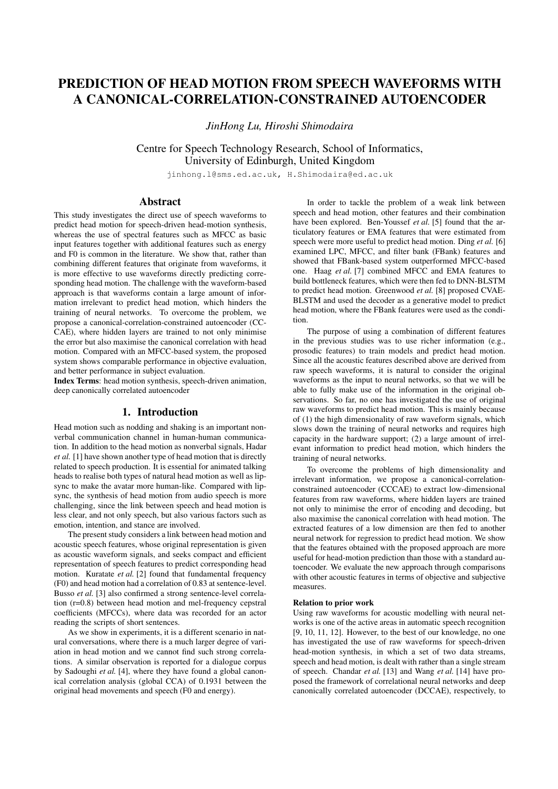# PREDICTION OF HEAD MOTION FROM SPEECH WAVEFORMS WITH A CANONICAL-CORRELATION-CONSTRAINED AUTOENCODER

*JinHong Lu, Hiroshi Shimodaira*

Centre for Speech Technology Research, School of Informatics, University of Edinburgh, United Kingdom

jinhong.l@sms.ed.ac.uk, H.Shimodaira@ed.ac.uk

# Abstract

This study investigates the direct use of speech waveforms to predict head motion for speech-driven head-motion synthesis, whereas the use of spectral features such as MFCC as basic input features together with additional features such as energy and F0 is common in the literature. We show that, rather than combining different features that originate from waveforms, it is more effective to use waveforms directly predicting corresponding head motion. The challenge with the waveform-based approach is that waveforms contain a large amount of information irrelevant to predict head motion, which hinders the training of neural networks. To overcome the problem, we propose a canonical-correlation-constrained autoencoder (CC-CAE), where hidden layers are trained to not only minimise the error but also maximise the canonical correlation with head motion. Compared with an MFCC-based system, the proposed system shows comparable performance in objective evaluation, and better performance in subject evaluation.

Index Terms: head motion synthesis, speech-driven animation, deep canonically correlated autoencoder

## 1. Introduction

Head motion such as nodding and shaking is an important nonverbal communication channel in human-human communication. In addition to the head motion as nonverbal signals, Hadar *et al.* [1] have shown another type of head motion that is directly related to speech production. It is essential for animated talking heads to realise both types of natural head motion as well as lipsync to make the avatar more human-like. Compared with lipsync, the synthesis of head motion from audio speech is more challenging, since the link between speech and head motion is less clear, and not only speech, but also various factors such as emotion, intention, and stance are involved.

The present study considers a link between head motion and acoustic speech features, whose original representation is given as acoustic waveform signals, and seeks compact and efficient representation of speech features to predict corresponding head motion. Kuratate *et al.* [2] found that fundamental frequency (F0) and head motion had a correlation of 0.83 at sentence-level. Busso *et al.* [3] also confirmed a strong sentence-level correlation (r=0.8) between head motion and mel-frequency cepstral coefficients (MFCCs), where data was recorded for an actor reading the scripts of short sentences.

As we show in experiments, it is a different scenario in natural conversations, where there is a much larger degree of variation in head motion and we cannot find such strong correlations. A similar observation is reported for a dialogue corpus by Sadoughi *et al.* [4], where they have found a global canonical correlation analysis (global CCA) of 0.1931 between the original head movements and speech (F0 and energy).

In order to tackle the problem of a weak link between speech and head motion, other features and their combination have been explored. Ben-Youssef *et al.* [5] found that the articulatory features or EMA features that were estimated from speech were more useful to predict head motion. Ding *et al.* [6] examined LPC, MFCC, and filter bank (FBank) features and showed that FBank-based system outperformed MFCC-based one. Haag *et al.* [7] combined MFCC and EMA features to build bottleneck features, which were then fed to DNN-BLSTM to predict head motion. Greenwood *et al.* [8] proposed CVAE-BLSTM and used the decoder as a generative model to predict head motion, where the FBank features were used as the condition.

The purpose of using a combination of different features in the previous studies was to use richer information (e.g., prosodic features) to train models and predict head motion. Since all the acoustic features described above are derived from raw speech waveforms, it is natural to consider the original waveforms as the input to neural networks, so that we will be able to fully make use of the information in the original observations. So far, no one has investigated the use of original raw waveforms to predict head motion. This is mainly because of (1) the high dimensionality of raw waveform signals, which slows down the training of neural networks and requires high capacity in the hardware support; (2) a large amount of irrelevant information to predict head motion, which hinders the training of neural networks.

To overcome the problems of high dimensionality and irrelevant information, we propose a canonical-correlationconstrained autoencoder (CCCAE) to extract low-dimensional features from raw waveforms, where hidden layers are trained not only to minimise the error of encoding and decoding, but also maximise the canonical correlation with head motion. The extracted features of a low dimension are then fed to another neural network for regression to predict head motion. We show that the features obtained with the proposed approach are more useful for head-motion prediction than those with a standard autoencoder. We evaluate the new approach through comparisons with other acoustic features in terms of objective and subjective measures.

#### Relation to prior work

Using raw waveforms for acoustic modelling with neural networks is one of the active areas in automatic speech recognition [9, 10, 11, 12]. However, to the best of our knowledge, no one has investigated the use of raw waveforms for speech-driven head-motion synthesis, in which a set of two data streams, speech and head motion, is dealt with rather than a single stream of speech. Chandar *et al.* [13] and Wang *et al.* [14] have proposed the framework of correlational neural networks and deep canonically correlated autoencoder (DCCAE), respectively, to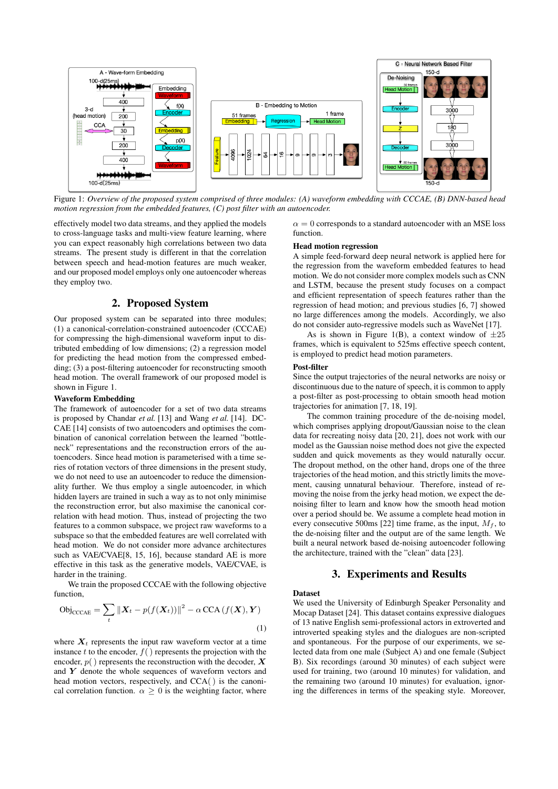

Figure 1: *Overview of the proposed system comprised of three modules: (A) waveform embedding with CCCAE, (B) DNN-based head motion regression from the embedded features, (C) post filter with an autoencoder.*

effectively model two data streams, and they applied the models to cross-language tasks and multi-view feature learning, where you can expect reasonably high correlations between two data streams. The present study is different in that the correlation between speech and head-motion features are much weaker, and our proposed model employs only one autoencoder whereas they employ two.

# 2. Proposed System

Our proposed system can be separated into three modules; (1) a canonical-correlation-constrained autoencoder (CCCAE) for compressing the high-dimensional waveform input to distributed embedding of low dimensions; (2) a regression model for predicting the head motion from the compressed embedding; (3) a post-filtering autoencoder for reconstructing smooth head motion. The overall framework of our proposed model is shown in Figure 1.

#### Waveform Embedding

The framework of autoencoder for a set of two data streams is proposed by Chandar *et al.* [13] and Wang *et al.* [14]. DC-CAE [14] consists of two autoencoders and optimises the combination of canonical correlation between the learned "bottleneck" representations and the reconstruction errors of the autoencoders. Since head motion is parameterised with a time series of rotation vectors of three dimensions in the present study, we do not need to use an autoencoder to reduce the dimensionality further. We thus employ a single autoencoder, in which hidden layers are trained in such a way as to not only minimise the reconstruction error, but also maximise the canonical correlation with head motion. Thus, instead of projecting the two features to a common subspace, we project raw waveforms to a subspace so that the embedded features are well correlated with head motion. We do not consider more advance architectures such as VAE/CVAE[8, 15, 16], because standard AE is more effective in this task as the generative models, VAE/CVAE, is harder in the training.

We train the proposed CCCAE with the following objective function,

$$
\text{Obj}_{\text{CCAE}} = \sum_{t} ||\boldsymbol{X}_{t} - p(f(\boldsymbol{X}_{t}))||^{2} - \alpha \text{CCA}(f(\boldsymbol{X}), \boldsymbol{Y})
$$
\n(1)

where  $X_t$  represents the input raw waveform vector at a time instance t to the encoder,  $f()$  represents the projection with the encoder,  $p()$  represents the reconstruction with the decoder,  $X$ and  $Y$  denote the whole sequences of waveform vectors and head motion vectors, respectively, and CCA() is the canonical correlation function.  $\alpha \geq 0$  is the weighting factor, where  $\alpha = 0$  corresponds to a standard autoencoder with an MSE loss function.

#### Head motion regression

A simple feed-forward deep neural network is applied here for the regression from the waveform embedded features to head motion. We do not consider more complex models such as CNN and LSTM, because the present study focuses on a compact and efficient representation of speech features rather than the regression of head motion; and previous studies [6, 7] showed no large differences among the models. Accordingly, we also do not consider auto-regressive models such as WaveNet [17].

As is shown in Figure 1(B), a context window of  $\pm 25$ frames, which is equivalent to 525ms effective speech content, is employed to predict head motion parameters.

#### Post-filter

Since the output trajectories of the neural networks are noisy or discontinuous due to the nature of speech, it is common to apply a post-filter as post-processing to obtain smooth head motion trajectories for animation [7, 18, 19].

The common training procedure of the de-noising model, which comprises applying dropout/Gaussian noise to the clean data for recreating noisy data [20, 21], does not work with our model as the Gaussian noise method does not give the expected sudden and quick movements as they would naturally occur. The dropout method, on the other hand, drops one of the three trajectories of the head motion, and this strictly limits the movement, causing unnatural behaviour. Therefore, instead of removing the noise from the jerky head motion, we expect the denoising filter to learn and know how the smooth head motion over a period should be. We assume a complete head motion in every consecutive 500ms [22] time frame, as the input,  $M_f$ , to the de-noising filter and the output are of the same length. We built a neural network based de-noising autoencoder following the architecture, trained with the "clean" data [23].

## 3. Experiments and Results

#### Dataset

We used the University of Edinburgh Speaker Personality and Mocap Dataset [24]. This dataset contains expressive dialogues of 13 native English semi-professional actors in extroverted and introverted speaking styles and the dialogues are non-scripted and spontaneous. For the purpose of our experiments, we selected data from one male (Subject A) and one female (Subject B). Six recordings (around 30 minutes) of each subject were used for training, two (around 10 minutes) for validation, and the remaining two (around 10 minutes) for evaluation, ignoring the differences in terms of the speaking style. Moreover,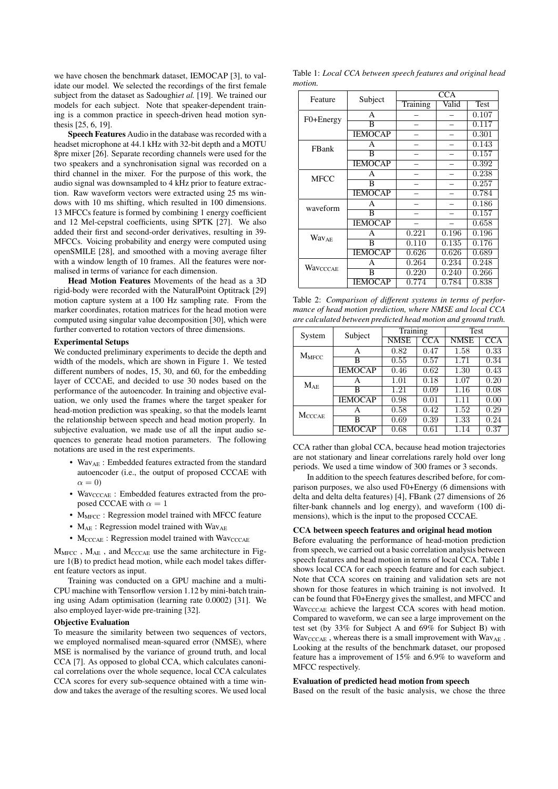we have chosen the benchmark dataset, IEMOCAP [3], to validate our model. We selected the recordings of the first female subject from the dataset as Sadoughi*et al.* [19]. We trained our models for each subject. Note that speaker-dependent training is a common practice in speech-driven head motion synthesis [25, 6, 19].

Speech Features Audio in the database was recorded with a headset microphone at 44.1 kHz with 32-bit depth and a MOTU 8pre mixer [26]. Separate recording channels were used for the two speakers and a synchronisation signal was recorded on a third channel in the mixer. For the purpose of this work, the audio signal was downsampled to 4 kHz prior to feature extraction. Raw waveform vectors were extracted using 25 ms windows with 10 ms shifting, which resulted in 100 dimensions. 13 MFCCs feature is formed by combining 1 energy coefficient and 12 Mel-cepstral coefficients, using SPTK [27]. We also added their first and second-order derivatives, resulting in 39- MFCCs. Voicing probability and energy were computed using openSMILE [28], and smoothed with a moving average filter with a window length of 10 frames. All the features were normalised in terms of variance for each dimension.

Head Motion Features Movements of the head as a 3D rigid-body were recorded with the NaturalPoint Optitrack [29] motion capture system at a 100 Hz sampling rate. From the marker coordinates, rotation matrices for the head motion were computed using singular value decomposition [30], which were further converted to rotation vectors of three dimensions.

#### Experimental Setups

We conducted preliminary experiments to decide the depth and width of the models, which are shown in Figure 1. We tested different numbers of nodes, 15, 30, and 60, for the embedding layer of CCCAE, and decided to use 30 nodes based on the performance of the autoencoder. In training and objective evaluation, we only used the frames where the target speaker for head-motion prediction was speaking, so that the models learnt the relationship between speech and head motion properly. In subjective evaluation, we made use of all the input audio sequences to generate head motion parameters. The following notations are used in the rest experiments.

- Wav<sub>AE</sub>: Embedded features extracted from the standard autoencoder (i.e., the output of proposed CCCAE with  $\alpha = 0$
- WavcccAE : Embedded features extracted from the proposed CCCAE with  $\alpha = 1$
- $M<sub>MFCC</sub>$ : Regression model trained with MFCC feature
- $M_{AE}$ : Regression model trained with Wav<sub>AE</sub>
- $M_{\text{CCCAE}}$ : Regression model trained with  $\text{Wav}_{\text{CCCAE}}$

 $M<sub>MFCC</sub>$ ,  $M<sub>AE</sub>$ , and  $M<sub>CCCAE</sub>$  use the same architecture in Figure 1(B) to predict head motion, while each model takes different feature vectors as input.

Training was conducted on a GPU machine and a multi-CPU machine with Tensorflow version 1.12 by mini-batch training using Adam optimisation (learning rate 0.0002) [31]. We also employed layer-wide pre-training [32].

## Objective Evaluation

To measure the similarity between two sequences of vectors, we employed normalised mean-squared error (NMSE), where MSE is normalised by the variance of ground truth, and local CCA [7]. As opposed to global CCA, which calculates canonical correlations over the whole sequence, local CCA calculates CCA scores for every sub-sequence obtained with a time window and takes the average of the resulting scores. We used local

Table 1: *Local CCA between speech features and original head motion.*

| Feature                 | Subject                 | <b>CCA</b> |       |       |  |
|-------------------------|-------------------------|------------|-------|-------|--|
|                         |                         | Training   | Valid | Test  |  |
| F0+Energy               | A                       |            |       | 0.107 |  |
|                         | B                       |            |       | 0.117 |  |
|                         | <b>IEMOCAP</b>          |            |       | 0.301 |  |
| FBank                   | A                       |            |       | 0.143 |  |
|                         | $\overline{\mathbf{B}}$ |            |       | 0.157 |  |
|                         | <b>IEMOCAP</b>          |            |       | 0.392 |  |
| <b>MFCC</b>             | A                       |            |       | 0.238 |  |
|                         | B                       |            |       | 0.257 |  |
|                         | <b>IEMOCAP</b>          |            |       | 0.784 |  |
| waveform                | A                       |            |       | 0.186 |  |
|                         | B                       |            |       | 0.157 |  |
|                         | <b>IEMOCAP</b>          |            |       | 0.658 |  |
| <b>Wav<sub>AE</sub></b> | A                       | 0.221      | 0.196 | 0.196 |  |
|                         | B                       | 0.110      | 0.135 | 0.176 |  |
|                         | <b>IEMOCAP</b>          | 0.626      | 0.626 | 0.689 |  |
| Wavcccae                | A                       | 0.264      | 0.234 | 0.248 |  |
|                         | B                       | 0.220      | 0.240 | 0.266 |  |
|                         | <b>IEMOCAP</b>          | 0.774      | 0.784 | 0.838 |  |

Table 2: *Comparison of different systems in terms of performance of head motion prediction, where NMSE and local CCA are calculated between predicted head motion and ground truth.*

| System            | Subject        | Training    |            | Test        |            |
|-------------------|----------------|-------------|------------|-------------|------------|
|                   |                | <b>NMSE</b> | <b>CCA</b> | <b>NMSE</b> | <b>CCA</b> |
| $M_{MFCC}$        | А              | 0.82        | 0.47       | 1.58        | 0.33       |
|                   | в              | 0.55        | 0.57       | 1.71        | 0.34       |
|                   | <b>IEMOCAP</b> | 0.46        | 0.62       | 1.30        | 0.43       |
| MAR               | A              | 1.01        | 0.18       | 1.07        | 0.20       |
|                   | в              | 1.21        | 0.09       | 1.16        | 0.08       |
|                   | <b>IEMOCAP</b> | 0.98        | 0.01       | 1.11        | 0.00       |
| $M_{\text{CCAE}}$ | А              | 0.58        | 0.42       | 1.52        | 0.29       |
|                   | в              | 0.69        | 0.39       | 1.33        | 0.24       |
|                   | <b>IEMOCAP</b> | 0.68        | 0.61       | 1.14        | 0.37       |

CCA rather than global CCA, because head motion trajectories are not stationary and linear correlations rarely hold over long periods. We used a time window of 300 frames or 3 seconds.

In addition to the speech features described before, for comparison purposes, we also used F0+Energy (6 dimensions with delta and delta delta features) [4], FBank (27 dimensions of 26 filter-bank channels and log energy), and waveform (100 dimensions), which is the input to the proposed CCCAE.

#### CCA between speech features and original head motion

Before evaluating the performance of head-motion prediction from speech, we carried out a basic correlation analysis between speech features and head motion in terms of local CCA. Table 1 shows local CCA for each speech feature and for each subject. Note that CCA scores on training and validation sets are not shown for those features in which training is not involved. It can be found that F0+Energy gives the smallest, and MFCC and Wav<sub>CCCAE</sub> achieve the largest CCA scores with head motion. Compared to waveform, we can see a large improvement on the test set (by 33% for Subject A and 69% for Subject B) with  $\text{Wav}_{\text{CCCAE}}$  , whereas there is a small improvement with  $\text{Wav}_{\text{AE}}$ . Looking at the results of the benchmark dataset, our proposed feature has a improvement of 15% and 6.9% to waveform and MFCC respectively.

#### Evaluation of predicted head motion from speech

Based on the result of the basic analysis, we chose the three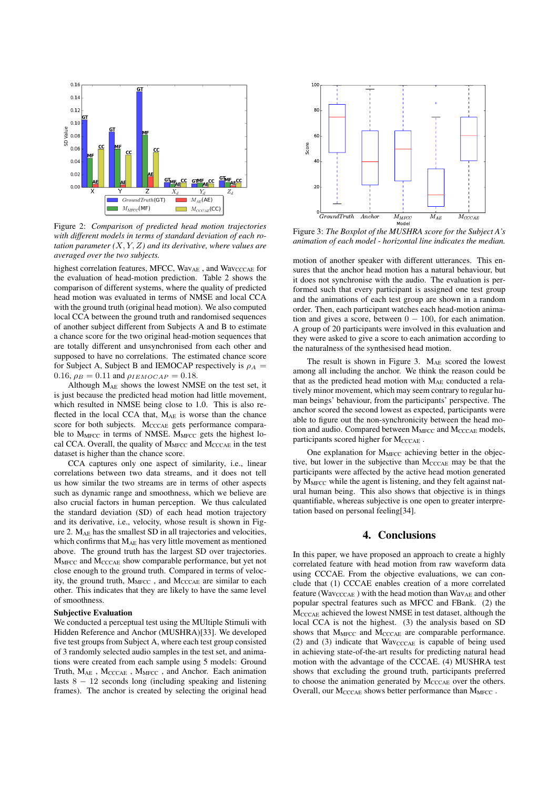

Figure 2: *Comparison of predicted head motion trajectories with different models in terms of standard deviation of each rotation parameter (*X, Y, Z*) and its derivative, where values are averaged over the two subjects.*

highest correlation features, MFCC, WavAE, and WavcccAE for the evaluation of head-motion prediction. Table 2 shows the comparison of different systems, where the quality of predicted head motion was evaluated in terms of NMSE and local CCA with the ground truth (original head motion). We also computed local CCA between the ground truth and randomised sequences of another subject different from Subjects A and B to estimate a chance score for the two original head-motion sequences that are totally different and unsynchronised from each other and supposed to have no correlations. The estimated chance score for Subject A, Subject B and IEMOCAP respectively is  $\rho_A$  = 0.16,  $\rho_B = 0.11$  and  $\rho_{IEMOCAP} = 0.18$ .

Although  $M_{AE}$  shows the lowest NMSE on the test set, it is just because the predicted head motion had little movement, which resulted in NMSE being close to 1.0. This is also reflected in the local CCA that,  $M_{AE}$  is worse than the chance score for both subjects. M<sub>CCCAE</sub> gets performance comparable to M<sub>MFCC</sub> in terms of NMSE. M<sub>MFCC</sub> gets the highest local CCA. Overall, the quality of  $M<sub>MFCC</sub>$  and  $M<sub>CCCAE</sub>$  in the test dataset is higher than the chance score.

CCA captures only one aspect of similarity, i.e., linear correlations between two data streams, and it does not tell us how similar the two streams are in terms of other aspects such as dynamic range and smoothness, which we believe are also crucial factors in human perception. We thus calculated the standard deviation (SD) of each head motion trajectory and its derivative, i.e., velocity, whose result is shown in Figure 2.  $M_{AE}$  has the smallest SD in all trajectories and velocities, which confirms that  $M_{AE}$  has very little movement as mentioned above. The ground truth has the largest SD over trajectories. M<sub>MFCC</sub> and M<sub>CCCAE</sub> show comparable performance, but yet not close enough to the ground truth. Compared in terms of velocity, the ground truth,  $M<sub>MFCC</sub>$ , and  $M<sub>CCCAE</sub>$  are similar to each other. This indicates that they are likely to have the same level of smoothness.

#### Subjective Evaluation

We conducted a perceptual test using the MUltiple Stimuli with Hidden Reference and Anchor (MUSHRA)[33]. We developed five test groups from Subject A, where each test group consisted of 3 randomly selected audio samples in the test set, and animations were created from each sample using 5 models: Ground Truth,  $M_{AE}$  ,  $M_{CCCAE}$  ,  $M_{MFCC}$  , and Anchor. Each animation lasts  $8 - 12$  seconds long (including speaking and listening frames). The anchor is created by selecting the original head



Figure 3: *The Boxplot of the MUSHRA score for the Subject A's animation of each model - horizontal line indicates the median.*

motion of another speaker with different utterances. This ensures that the anchor head motion has a natural behaviour, but it does not synchronise with the audio. The evaluation is performed such that every participant is assigned one test group and the animations of each test group are shown in a random order. Then, each participant watches each head-motion animation and gives a score, between  $0 - 100$ , for each animation. A group of 20 participants were involved in this evaluation and they were asked to give a score to each animation according to the naturalness of the synthesised head motion.

The result is shown in Figure 3. M<sub>AE</sub> scored the lowest among all including the anchor. We think the reason could be that as the predicted head motion with MAE conducted a relatively minor movement, which may seem contrary to regular human beings' behaviour, from the participants' perspective. The anchor scored the second lowest as expected, participants were able to figure out the non-synchronicity between the head motion and audio. Compared between MMFCC and MCCCAE models, participants scored higher for MCCCAE.

One explanation for M<sub>MFCC</sub> achieving better in the objective, but lower in the subjective than  $M_{\text{CCCAE}}$  may be that the participants were affected by the active head motion generated by  $M<sub>MFCC</sub>$  while the agent is listening, and they felt against natural human being. This also shows that objective is in things quantifiable, whereas subjective is one open to greater interpretation based on personal feeling[34].

# 4. Conclusions

In this paper, we have proposed an approach to create a highly correlated feature with head motion from raw waveform data using CCCAE. From the objective evaluations, we can conclude that (1) CCCAE enables creation of a more correlated feature (WavcccAE) with the head motion than WavAE and other popular spectral features such as MFCC and FBank. (2) the MCCCAE achieved the lowest NMSE in test dataset, although the local CCA is not the highest. (3) the analysis based on SD shows that  $M<sub>MFCC</sub>$  and  $M<sub>CCCAE</sub>$  are comparable performance. (2) and (3) indicate that  $Wav_{\text{CCCAE}}$  is capable of being used in achieving state-of-the-art results for predicting natural head motion with the advantage of the CCCAE. (4) MUSHRA test shows that excluding the ground truth, participants preferred to choose the animation generated by M<sub>CCCAE</sub> over the others. Overall, our M<sub>CCCAE</sub> shows better performance than M<sub>MFCC</sub>.